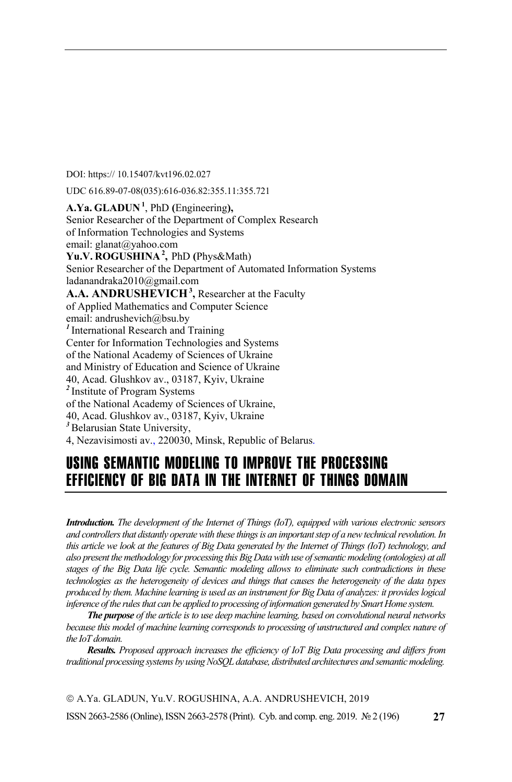DOI: https:// 10.15407/kvt196.02.027

UDC 616.89-07-08(035):616-036.82:355.11:355.721

**A.Ya. GLADUN<sup>1</sup>** , PhD **(**Engineering**),**  Senior Researcher of the Department of Complex Research of Information Technologies and Systems email: glanat@yahoo.com **Yu.V. ROGUSHINA<sup>2</sup> ,** PhD **(**Phys&Math) Senior Researcher of the Department of Automated Information Systems ladanandraka2010@gmail.com A.A. ANDRUSHEVICH<sup>3</sup>, Researcher at the Faculty of Applied Mathematics and Computer Science email: andrushevich@bsu.by *<sup>1</sup>*International Research and Training Center for Information Technologies and Systems of the National Academy of Sciences of Ukraine and Ministry of Education and Science of Ukraine 40, Acad. Glushkov av., 03187, Kyiv, Ukraine *<sup>2</sup>*Institute of Program Systems of the National Academy of Sciences of Ukraine, 40, Acad. Glushkov av., 03187, Kyiv, Ukraine <sup>3</sup>Belarusian State University, 4, Nezavisimosti av., 220030, Minsk, Republic of Belarus.

## USING SEMANTIC MODELING TO IMPROVE THE PROCESSING EFFICIENCY OF BIG DATA IN THE INTERNET OF THINGS DOMAIN

*Introduction. The development of the Internet of Things (IoT), equipped with various electronic sensors and controllers that distantly operate with these things is an important step of a new technical revolution. In this article we look at the features of Big Data generated by the Internet of Things (IoT) technology, and also present the methodology for processing this Big Data with use of semantic modeling (ontologies) at all stages of the Big Data life cycle. Semantic modeling allows to eliminate such contradictions in these technologies as the heterogeneity of devices and things that causes the heterogeneity of the data types produced by them. Machine learning is used as an instrument for Big Data of analyzes: it provides logical inference of the rules that can be applied to processing of information generated by Smart Home system.* 

*The purpose of the article is to use deep machine learning, based on convolutional neural networks because this model of machine learning corresponds to processing of unstructured and complex nature of the IoT domain.* 

*Results. Proposed approach increases the efficiency of IoT Big Data processing and differs from traditional processing systems by using NoSQL database, distributed architectures and semantic modeling.* 

ISSN 2663-2586 (Online), ISSN 2663-2578 (Print). Cyb. and comp. eng. 2019. № 2 (196) © A.Ya. GLADUN, Yu.V. ROGUSHINA, A.A. ANDRUSHEVICH, 2019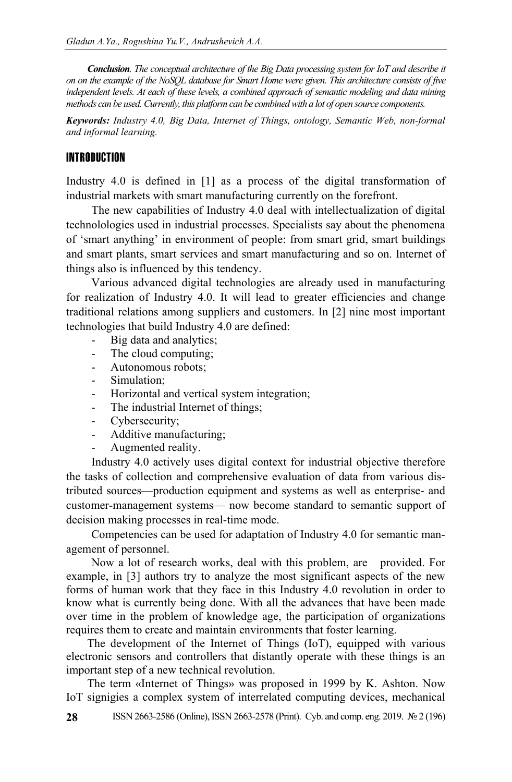*Conclusion. The conceptual architecture of the Big Data processing system for IoT and describe it on on the example of the NoSQL database for Smart Home were given. This architecture consists of five independent levels. At each of these levels, a combined approach of semantic modeling and data mining methods can be used. Currently, this platform can be combined with a lot of open source components.* 

*Keywords: Industry 4.0, Big Data, Internet of Things, ontology, Semantic Web, non-formal and informal learning.* 

#### INTRODUCTION

Industry 4.0 is defined in [1] as a process of the digital transformation of industrial markets with smart manufacturing currently on the forefront.

The new capabilities of Industry 4.0 deal with intellectualization of digital technolologies used in industrial processes. Specialists say about the phenomena of 'smart anything' in environment of people: from smart grid, smart buildings and smart plants, smart services and smart manufacturing and so on. Internet of things also is influenced by this tendency.

Various advanced digital technologies are already used in manufacturing for realization of Industry 4.0. It will lead to greater efficiencies and change traditional relations among suppliers and customers. In [2] nine most important technologies that build Industry 4.0 are defined:

- Big data and analytics;
- The cloud computing;
- Autonomous robots;
- Simulation:
- Horizontal and vertical system integration;
- The industrial Internet of things;
- Cybersecurity;
- Additive manufacturing;
- Augmented reality.

Industry 4.0 actively uses digital context for industrial objective therefore the tasks of collection and comprehensive evaluation of data from various distributed sources—production equipment and systems as well as enterprise- and customer-management systems— now become standard to semantic support of decision making processes in real-time mode.

Competencies can be used for adaptation of Industry 4.0 for semantic management of personnel.

Now a lot of research works, deal with this problem, are provided. For example, in [3] authors try to analyze the most significant aspects of the new forms of human work that they face in this Industry 4.0 revolution in order to know what is currently being done. With all the advances that have been made over time in the problem of knowledge age, the participation of organizations requires them to create and maintain environments that foster learning.

The development of the Internet of Things (IoT), equipped with various electronic sensors and controllers that distantly operate with these things is an important step of a new technical revolution.

The term «Internet of Things» was proposed in 1999 by K. Ashton. Now IoT signigies a complex system of interrelated computing devices, mechanical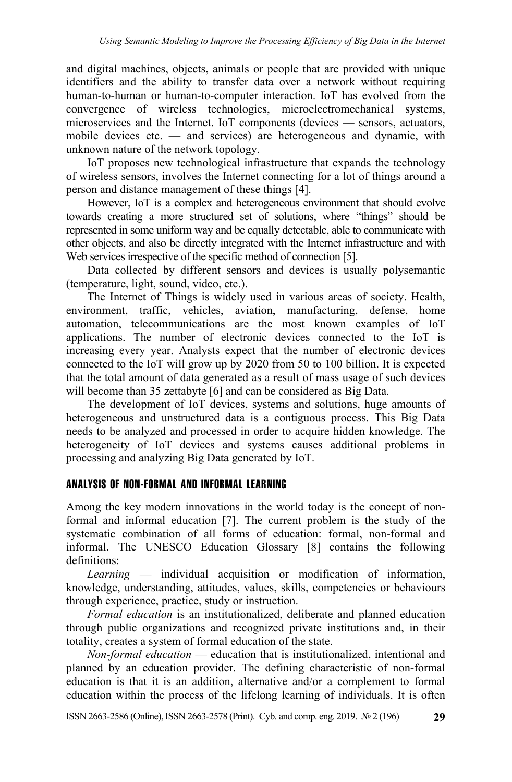and digital machines, objects, animals or people that are provided with unique identifiers and the ability to transfer data over a network without requiring human-to-human or human-to-computer interaction. IoT has evolved from the convergence of wireless technologies, microelectromechanical systems, microservices and the Internet. IoT components (devices — sensors, actuators, mobile devices etc. — and services) are heterogeneous and dynamic, with unknown nature of the network topology.

IoT proposes new technological infrastructure that expands the technology of wireless sensors, involves the Internet connecting for a lot of things around a person and distance management of these things [4].

However, IoT is a complex and heterogeneous environment that should evolve towards creating a more structured set of solutions, where "things" should be represented in some uniform way and be equally detectable, able to communicate with other objects, and also be directly integrated with the Internet infrastructure and with Web services irrespective of the specific method of connection [5].

Data collected by different sensors and devices is usually polysemantic (temperature, light, sound, video, etc.).

The Internet of Things is widely used in various areas of society. Health, environment, traffic, vehicles, aviation, manufacturing, defense, home automation, telecommunications are the most known examples of IoT applications. The number of electronic devices connected to the IoT is increasing every year. Analysts expect that the number of electronic devices connected to the IoT will grow up by 2020 from 50 to 100 billion. It is expected that the total amount of data generated as a result of mass usage of such devices will become than 35 zettabyte [6] and can be considered as Big Data.

The development of IoT devices, systems and solutions, huge amounts of heterogeneous and unstructured data is a contiguous process. This Big Data needs to be analyzed and processed in order to acquire hidden knowledge. The heterogeneity of IoT devices and systems causes additional problems in processing and analyzing Big Data generated by IoT.

## ANALYSIS OF NON-FORMAL AND INFORMAL LEARNING

Among the key modern innovations in the world today is the concept of nonformal and informal education [7]. The current problem is the study of the systematic combination of all forms of education: formal, non-formal and informal. The UNESCO Education Glossary [8] contains the following definitions:

*Learning* — individual acquisition or modification of information, knowledge, understanding, attitudes, values, skills, competencies or behaviours through experience, practice, study or instruction.

*Formal education* is an institutionalized, deliberate and planned education through public organizations and recognized private institutions and, in their totality, creates a system of formal education of the state.

*Non-formal education* — education that is institutionalized, intentional and planned by an education provider. The defining characteristic of non-formal education is that it is an addition, alternative and/or a complement to formal education within the process of the lifelong learning of individuals. It is often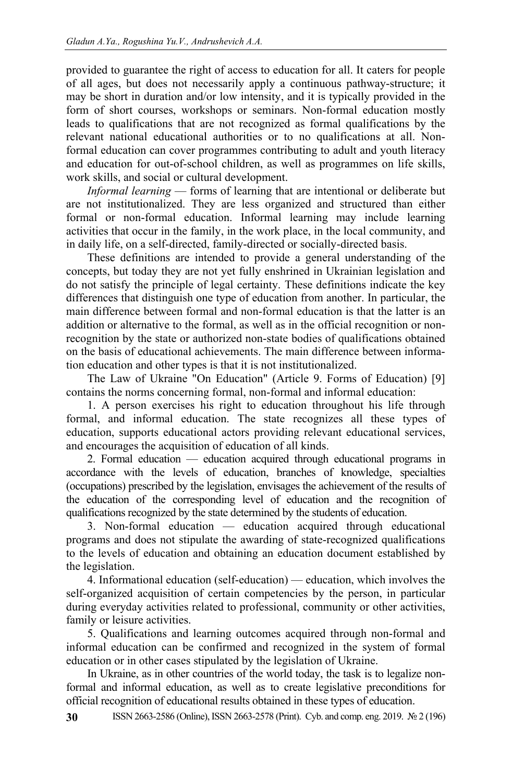provided to guarantee the right of access to education for all. It caters for people of all ages, but does not necessarily apply a continuous pathway-structure; it may be short in duration and/or low intensity, and it is typically provided in the form of short courses, workshops or seminars. Non-formal education mostly leads to qualifications that are not recognized as formal qualifications by the relevant national educational authorities or to no qualifications at all. Nonformal education can cover programmes contributing to adult and youth literacy and education for out-of-school children, as well as programmes on life skills, work skills, and social or cultural development.

*Informal learning* — forms of learning that are intentional or deliberate but are not institutionalized. They are less organized and structured than either formal or non-formal education. Informal learning may include learning activities that occur in the family, in the work place, in the local community, and in daily life, on a self-directed, family-directed or socially-directed basis.

These definitions are intended to provide a general understanding of the concepts, but today they are not yet fully enshrined in Ukrainian legislation and do not satisfy the principle of legal certainty. These definitions indicate the key differences that distinguish one type of education from another. In particular, the main difference between formal and non-formal education is that the latter is an addition or alternative to the formal, as well as in the official recognition or nonrecognition by the state or authorized non-state bodies of qualifications obtained on the basis of educational achievements. The main difference between information education and other types is that it is not institutionalized.

The Law of Ukraine "On Education" (Article 9. Forms of Education) [9] contains the norms concerning formal, non-formal and informal education:

1. A person exercises his right to education throughout his life through formal, and informal education. The state recognizes all these types of education, supports educational actors providing relevant educational services, and encourages the acquisition of education of all kinds.

2. Formal education — education acquired through educational programs in accordance with the levels of education, branches of knowledge, specialties (occupations) prescribed by the legislation, envisages the achievement of the results of the education of the corresponding level of education and the recognition of qualifications recognized by the state determined by the students of education.

3. Non-formal education — education acquired through educational programs and does not stipulate the awarding of state-recognized qualifications to the levels of education and obtaining an education document established by the legislation.

4. Informational education (self-education) — education, which involves the self-organized acquisition of certain competencies by the person, in particular during everyday activities related to professional, community or other activities, family or leisure activities.

5. Qualifications and learning outcomes acquired through non-formal and informal education can be confirmed and recognized in the system of formal education or in other cases stipulated by the legislation of Ukraine.

In Ukraine, as in other countries of the world today, the task is to legalize nonformal and informal education, as well as to create legislative preconditions for official recognition of educational results obtained in these types of education.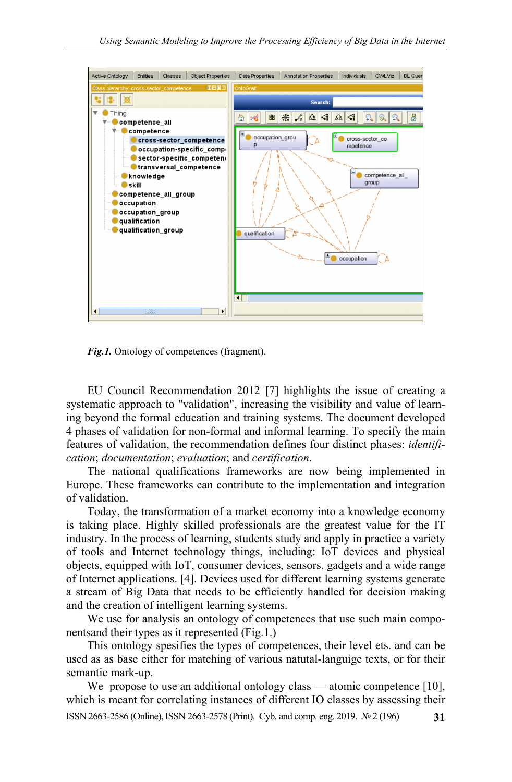

*Fig.1.* Ontology of competences (fragment).

EU Council Recommendation 2012 [7] highlights the issue of creating a systematic approach to "validation", increasing the visibility and value of learning beyond the formal education and training systems. The document developed 4 phases of validation for non-formal and informal learning. To specify the main features of validation, the recommendation defines four distinct phases: *identification*; *documentation*; *evaluation*; and *certification*.

The national qualifications frameworks are now being implemented in Europe. These frameworks can contribute to the implementation and integration of validation.

Today, the transformation of a market economy into a knowledge economy is taking place. Highly skilled professionals are the greatest value for the IT industry. In the process of learning, students study and apply in practice a variety of tools and Internet technology things, including: IoT devices and physical objects, equipped with IoT, consumer devices, sensors, gadgets and a wide range of Internet applications. [4]. Devices used for different learning systems generate a stream of Big Data that needs to be efficiently handled for decision making and the creation of intelligent learning systems.

We use for analysis an ontology of competences that use such main componentsand their types as it represented (Fig.1.)

This ontology spesifies the types of competences, their level ets. and can be used as as base either for matching of various natutal-languige texts, or for their semantic mark-up.

We propose to use an additional ontology class — atomic competence [10], which is meant for correlating instances of different IO classes by assessing their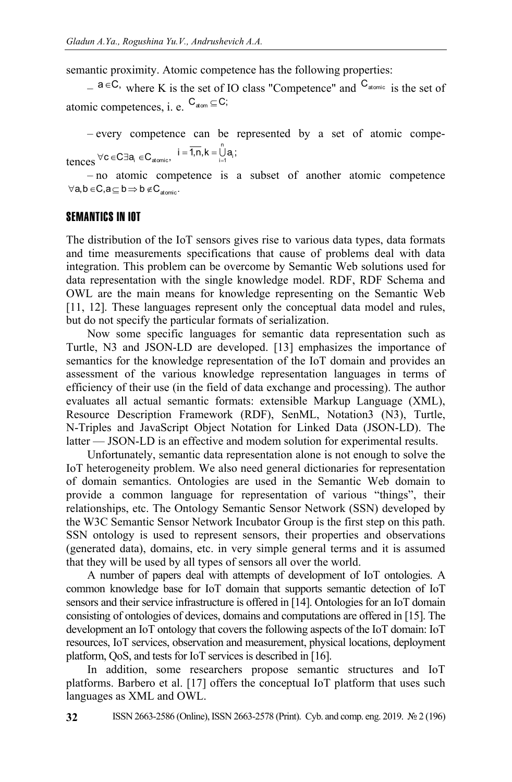semantic proximity. Atomic competence has the following properties:

 $-$  a ∈C, where K is the set of IO class "Competence" and  $C_{\text{atomic}}$  is the set of atomic competences, i. e.  $C_{atom} \subseteq C$ ;

– every competence can be represented by a set of atomic competences  $\forall c \in C \exists a_i \in C_{atomic}, i = \overline{1, n}, k = \bigcup_{i=1}^{n}$  $i = 1, n, k = \bigcup_{i=1}^{n} a_i;$ 

– no atomic competence is a subset of another atomic competence  $\forall a, b \in C, a \subseteq b \Rightarrow b \notin C_{atomic}.$ 

#### SEMANTICS IN IOT

The distribution of the IoT sensors gives rise to various data types, data formats and time measurements specifications that cause of problems deal with data integration. This problem can be overcome by Semantic Web solutions used for data representation with the single knowledge model. RDF, RDF Schema and OWL are the main means for knowledge representing on the Semantic Web [11, 12]. These languages represent only the conceptual data model and rules, but do not specify the particular formats of serialization.

Now some specific languages for semantic data representation such as Turtle, N3 and JSON-LD are developed. [13] emphasizes the importance of semantics for the knowledge representation of the IoT domain and provides an assessment of the various knowledge representation languages in terms of efficiency of their use (in the field of data exchange and processing). The author evaluates all actual semantic formats: extensible Markup Language (XML), Resource Description Framework (RDF), SenML, Notation3 (N3), Turtle, N-Triples and JavaScript Object Notation for Linked Data (JSON-LD). The latter — JSON-LD is an effective and modem solution for experimental results.

Unfortunately, semantic data representation alone is not enough to solve the IoT heterogeneity problem. We also need general dictionaries for representation of domain semantics. Ontologies are used in the Semantic Web domain to provide a common language for representation of various "things", their relationships, etc. The Ontology Semantic Sensor Network (SSN) developed by the W3C Semantic Sensor Network Incubator Group is the first step on this path. SSN ontology is used to represent sensors, their properties and observations (generated data), domains, etc. in very simple general terms and it is assumed that they will be used by all types of sensors all over the world.

A number of papers deal with attempts of development of IoT ontologies. A common knowledge base for IoT domain that supports semantic detection of IoT sensors and their service infrastructure is offered in [14]. Ontologies for an IoT domain consisting of ontologies of devices, domains and computations are offered in [15]. The development an IoT ontology that covers the following aspects of the IoT domain: IoT resources, IoT services, observation and measurement, physical locations, deployment platform, QoS, and tests for IoT services is described in [16].

In addition, some researchers propose semantic structures and IoT platforms. Barbero et al. [17] offers the conceptual IoT platform that uses such languages as XML and OWL.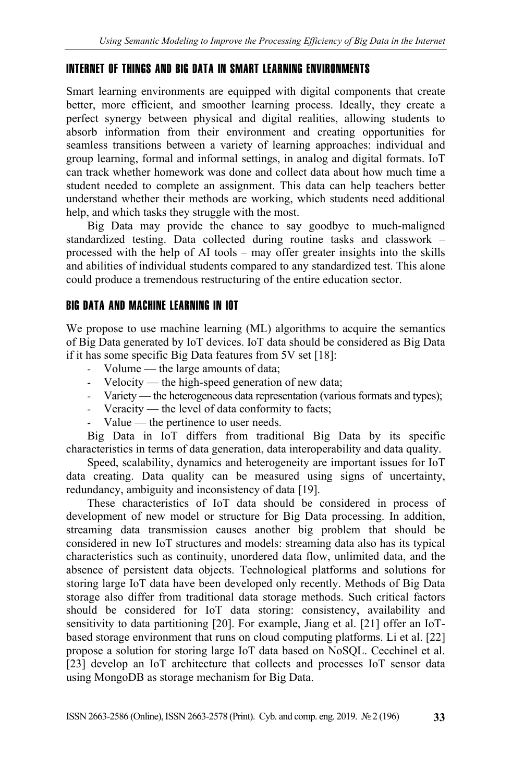## INTERNET OF THINGS AND BIG DATA IN SMART LEARNING ENVIRONMENTS

Smart learning environments are equipped with digital components that create better, more efficient, and smoother learning process. Ideally, they create a perfect synergy between physical and digital realities, allowing students to absorb information from their environment and creating opportunities for seamless transitions between a variety of learning approaches: individual and group learning, formal and informal settings, in analog and digital formats. IoT can track whether homework was done and collect data about how much time a student needed to complete an assignment. This data can help teachers better understand whether their methods are working, which students need additional help, and which tasks they struggle with the most.

Big Data may provide the chance to say goodbye to much-maligned standardized testing. Data collected during routine tasks and classwork – processed with the help of AI tools – may offer greater insights into the skills and abilities of individual students compared to any standardized test. This alone could produce a tremendous restructuring of the entire education sector.

## BIG DATA AND MACHINE LEARNING IN IOT

We propose to use machine learning (ML) algorithms to acquire the semantics of Big Data generated by IoT devices. IoT data should be considered as Big Data if it has some specific Big Data features from 5V set [18]:

- Volume the large amounts of data;
- Velocity the high-speed generation of new data;
- Variety the heterogeneous data representation (various formats and types);
- Veracity the level of data conformity to facts;
- Value the pertinence to user needs.

Big Data in IoT differs from traditional Big Data by its specific characteristics in terms of data generation, data interoperability and data quality.

Speed, scalability, dynamics and heterogeneity are important issues for IoT data creating. Data quality can be measured using signs of uncertainty, redundancy, ambiguity and inconsistency of data [19].

These characteristics of IoT data should be considered in process of development of new model or structure for Big Data processing. In addition, streaming data transmission causes another big problem that should be considered in new IoT structures and models: streaming data also has its typical characteristics such as continuity, unordered data flow, unlimited data, and the absence of persistent data objects. Technological platforms and solutions for storing large IoT data have been developed only recently. Methods of Big Data storage also differ from traditional data storage methods. Such critical factors should be considered for IoT data storing: consistency, availability and sensitivity to data partitioning [20]. For example, Jiang et al. [21] offer an IoTbased storage environment that runs on cloud computing platforms. Li et al. [22] propose a solution for storing large IoT data based on NoSQL. Cecchinel et al. [23] develop an IoT architecture that collects and processes IoT sensor data using MongoDB as storage mechanism for Big Data.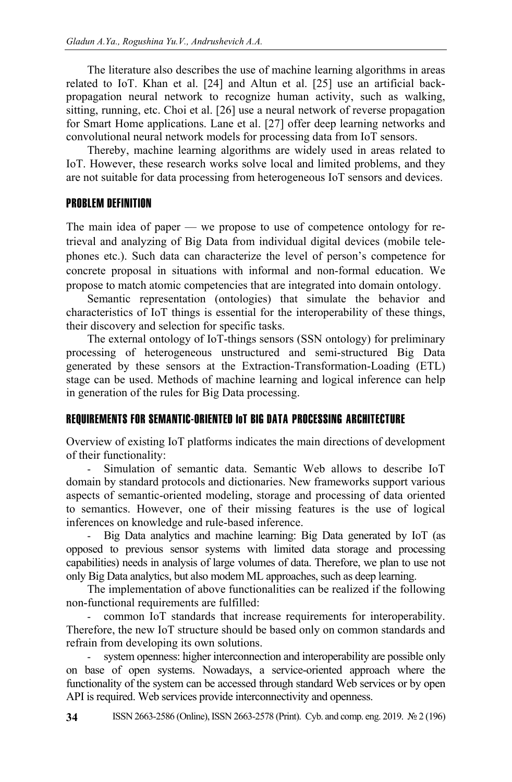The literature also describes the use of machine learning algorithms in areas related to IoT. Khan et al. [24] and Altun et al. [25] use an artificial backpropagation neural network to recognize human activity, such as walking, sitting, running, etc. Choi et al. [26] use a neural network of reverse propagation for Smart Home applications. Lane et al. [27] offer deep learning networks and convolutional neural network models for processing data from IoT sensors.

Thereby, machine learning algorithms are widely used in areas related to IoT. However, these research works solve local and limited problems, and they are not suitable for data processing from heterogeneous IoT sensors and devices.

#### PROBLEM DEFINITION

The main idea of paper — we propose to use of competence ontology for retrieval and analyzing of Big Data from individual digital devices (mobile telephones etc.). Such data can characterize the level of person's competence for concrete proposal in situations with informal and non-formal education. We propose to match atomic competencies that are integrated into domain ontology.

Semantic representation (ontologies) that simulate the behavior and characteristics of IoT things is essential for the interoperability of these things, their discovery and selection for specific tasks.

The external ontology of IoT-things sensors (SSN ontology) for preliminary processing of heterogeneous unstructured and semi-structured Big Data generated by these sensors at the Extraction-Transformation-Loading (ETL) stage can be used. Methods of machine learning and logical inference can help in generation of the rules for Big Data processing.

### REQUIREMENTS FOR SEMANTIC-ORIENTED IOT BIG DATA PROCESSING ARCHITECTURE

Overview of existing IoT platforms indicates the main directions of development of their functionality:

Simulation of semantic data. Semantic Web allows to describe IoT domain by standard protocols and dictionaries. New frameworks support various aspects of semantic-oriented modeling, storage and processing of data oriented to semantics. However, one of their missing features is the use of logical inferences on knowledge and rule-based inference.

- Big Data analytics and machine learning: Big Data generated by IoT (as opposed to previous sensor systems with limited data storage and processing capabilities) needs in analysis of large volumes of data. Therefore, we plan to use not only Big Data analytics, but also modem ML approaches, such as deep learning.

The implementation of above functionalities can be realized if the following non-functional requirements are fulfilled:

- common IoT standards that increase requirements for interoperability. Therefore, the new IoT structure should be based only on common standards and refrain from developing its own solutions.

system openness: higher interconnection and interoperability are possible only on base of open systems. Nowadays, a service-oriented approach where the functionality of the system can be accessed through standard Web services or by open API is required. Web services provide interconnectivity and openness.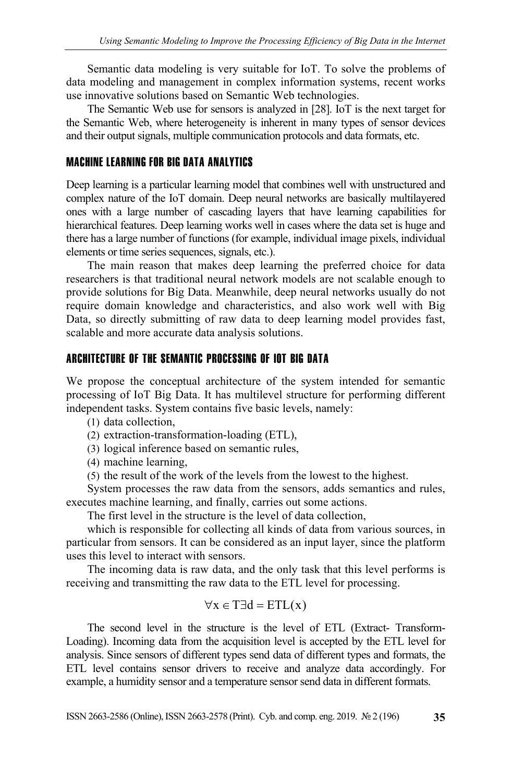Semantic data modeling is very suitable for IoT. To solve the problems of data modeling and management in complex information systems, recent works use innovative solutions based on Semantic Web technologies.

The Semantic Web use for sensors is analyzed in [28]. IoT is the next target for the Semantic Web, where heterogeneity is inherent in many types of sensor devices and their output signals, multiple communication protocols and data formats, etc.

#### MACHINE LEARNING FOR BIG DATA ANALYTICS

Deep learning is a particular learning model that combines well with unstructured and complex nature of the IoT domain. Deep neural networks are basically multilayered ones with a large number of cascading layers that have learning capabilities for hierarchical features. Deep learning works well in cases where the data set is huge and there has a large number of functions (for example, individual image pixels, individual elements or time series sequences, signals, etc.).

The main reason that makes deep learning the preferred choice for data researchers is that traditional neural network models are not scalable enough to provide solutions for Big Data. Meanwhile, deep neural networks usually do not require domain knowledge and characteristics, and also work well with Big Data, so directly submitting of raw data to deep learning model provides fast, scalable and more accurate data analysis solutions.

#### ARCHITECTURE OF THE SEMANTIC PROCESSING OF IOT BIG DATA

We propose the conceptual architecture of the system intended for semantic processing of IoT Big Data. It has multilevel structure for performing different independent tasks. System contains five basic levels, namely:

(1) data collection,

- (2) extraction-transformation-loading (ETL),
- (3) logical inference based on semantic rules,
- (4) machine learning,
- (5) the result of the work of the levels from the lowest to the highest.

System processes the raw data from the sensors, adds semantics and rules, executes machine learning, and finally, carries out some actions.

The first level in the structure is the level of data collection,

which is responsible for collecting all kinds of data from various sources, in particular from sensors. It can be considered as an input layer, since the platform uses this level to interact with sensors.

The incoming data is raw data, and the only task that this level performs is receiving and transmitting the raw data to the ETL level for processing.

$$
\forall x \in T \exists d = ETL(x)
$$

The second level in the structure is the level of ETL (Extract- Transform-Loading). Incoming data from the acquisition level is accepted by the ETL level for analysis. Since sensors of different types send data of different types and formats, the ETL level contains sensor drivers to receive and analyze data accordingly. For example, a humidity sensor and a temperature sensor send data in different formats.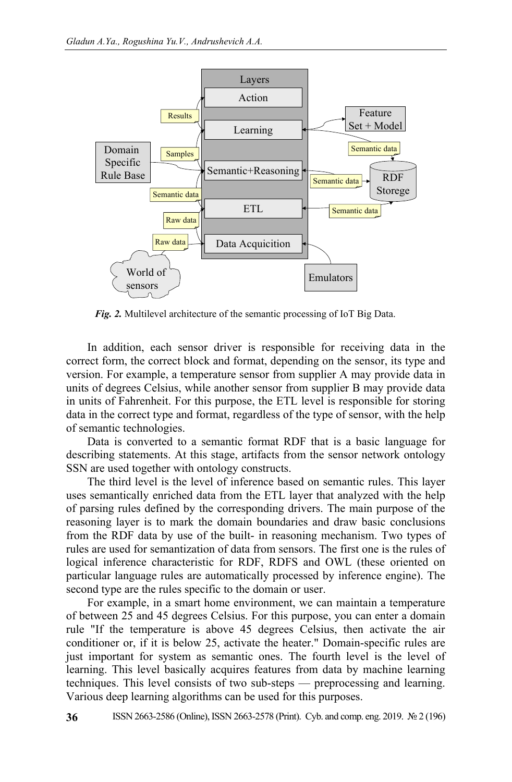

*Fig. 2.* Multilevel architecture of the semantic processing of IoT Big Data.

In addition, each sensor driver is responsible for receiving data in the correct form, the correct block and format, depending on the sensor, its type and version. For example, a temperature sensor from supplier A may provide data in units of degrees Celsius, while another sensor from supplier В may provide data in units of Fahrenheit. For this purpose, the ETL level is responsible for storing data in the correct type and format, regardless of the type of sensor, with the help of semantic technologies.

Data is converted to a semantic format RDF that is a basic language for describing statements. At this stage, artifacts from the sensor network ontology SSN are used together with ontology constructs.

The third level is the level of inference based on semantic rules. This layer uses semantically enriched data from the ETL layer that analyzed with the help of parsing rules defined by the corresponding drivers. The main purpose of the reasoning layer is to mark the domain boundaries and draw basic conclusions from the RDF data by use of the built- in reasoning mechanism. Two types of rules are used for semantization of data from sensors. The first one is the rules of logical inference characteristic for RDF, RDFS and OWL (these oriented on particular language rules are automatically processed by inference engine). The second type are the rules specific to the domain or user.

For example, in a smart home environment, we can maintain a temperature of between 25 and 45 degrees Celsius. For this purpose, you can enter a domain rule "If the temperature is above 45 degrees Celsius, then activate the air conditioner or, if it is below 25, activate the heater." Domain-specific rules are just important for system as semantic ones. The fourth level is the level of learning. This level basically acquires features from data by machine learning techniques. This level consists of two sub-steps — preprocessing and learning. Various deep learning algorithms can be used for this purposes.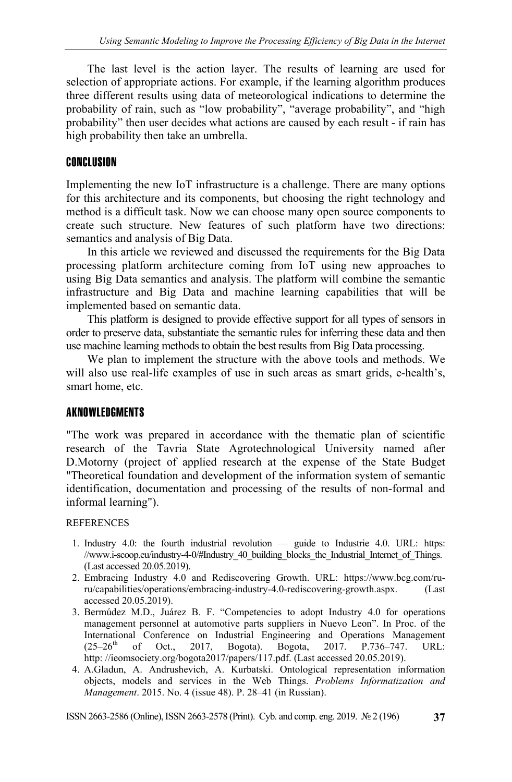The last level is the action layer. The results of learning are used for selection of appropriate actions. For example, if the learning algorithm produces three different results using data of meteorological indications to determine the probability of rain, such as "low probability", "average probability", and "high probability" then user decides what actions are caused by each result - if rain has high probability then take an umbrella.

#### CONCLUSION

Implementing the new IoT infrastructure is a challenge. There are many options for this architecture and its components, but choosing the right technology and method is a difficult task. Now we can choose many open source components to create such structure. New features of such platform have two directions: semantics and analysis of Big Data.

In this article we reviewed and discussed the requirements for the Big Data processing platform architecture coming from IoT using new approaches to using Big Data semantics and analysis. The platform will combine the semantic infrastructure and Big Data and machine learning capabilities that will be implemented based on semantic data.

This platform is designed to provide effective support for all types of sensors in order to preserve data, substantiate the semantic rules for inferring these data and then use machine learning methods to obtain the best results from Big Data processing.

We plan to implement the structure with the above tools and methods. We will also use real-life examples of use in such areas as smart grids, e-health's, smart home, etc.

#### AKNOWLEDGMENTS

"The work was prepared in accordance with the thematic plan of scientific research of the Tavria State Agrotechnological University named after D.Motorny (project of applied research at the expense of the State Budget "Theoretical foundation and development of the information system of semantic identification, documentation and processing of the results of non-formal and informal learning").

#### REFERENCES

- 1. Industry 4.0: the fourth industrial revolution guide to Industrie 4.0. URL: https: //www.i-scoop.eu/industry-4-0/#Industry 40\_building\_blocks\_the\_Industrial\_Internet\_of\_Things. (Last accessed 20.05.2019).
- 2. Embracing Industry 4.0 and Rediscovering Growth. URL: https://www.bcg.com/ruru/capabilities/operations/embracing-industry-4.0-rediscovering-growth.aspx. (Last accessed 20.05.2019).
- 3. Bermúdez M.D., Juárez B. F. "Competencies to adopt Industry 4.0 for operations management personnel at automotive parts suppliers in Nuevo Leon". In Proc. of the International Conference on Industrial Engineering and Operations Management  $(25-26$ <sup>th</sup> of Oct., 2017, Bogota). Bogota, 2017. P.736–747. URL: http://ieomsociety.org/bogota2017/papers/117.pdf. (Last accessed 20.05.2019).
- 4. A.Gladun, A. Andrushevich, A. Kurbatski. Ontological representation information objects, models and services in the Web Things. *Problems Informatization and Management*. 2015. No. 4 (issue 48). P. 28–41 (in Russian).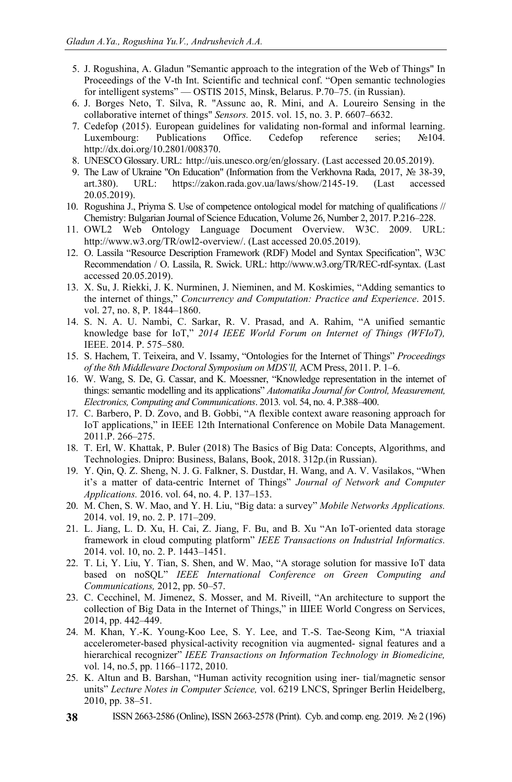- 5. J. Rogushina, А. Gladun "Semantic approach to the integration of the Web of Things" In Proceedings of the V-th Int. Scientific and technical conf. "Open semantic technologies for intelligent systems" — OSTIS 2015, Minsk, Belarus. P.70-75. (in Russian).
- 6. J. Borges Neto, T. Silva, R. "Assunc ao, R. Mini, and A. Loureiro Sensing in the collaborative internet of things" *Sensors.* 2015. vol. 15, no. 3. Р. 6607–6632.
- 7. Cedefop (2015). European guidelines for validating non-formal and informal learning. Luxembourg: Publications Office. Cedefop reference series; №104. http://dx.doi.org/10.2801/008370.
- 8. UNESCO Glossary. URL: http://uis.unesco.org/en/glossary. (Last accessed 20.05.2019).
- 9. The Law of Ukraine "On Education" (Information from the Verkhovna Rada, 2017, № 38-39, art.380). URL: https://zakon.rada.gov.ua/laws/show/2145-19. (Last accessed 20.05.2019).
- 10. Rogushina J., Priyma S. Use of competence ontological model for matching of qualifications // Chemistry: Bulgarian Journal of Science Education, Volume 26, Number 2, 2017. P.216–228.
- 11. OWL2 Web Ontology Language Document Overview. W3C. 2009. URL: http://www.w3.org/TR/owl2-overview/. (Last accessed 20.05.2019).
- 12. O. Lassila "Resource Description Framework (RDF) Model and Syntax Specification", W3C Recommendation / O. Lassila, R. Swick. URL: http://www.w3.org/TR/REC-rdf-syntax. (Last accessed 20.05.2019).
- 13. X. Su, J. Riekki, J. K. Nurminen, J. Nieminen, and M. Koskimies, "Adding semantics to the internet of things," *Concurrency and Computation: Practice and Experience*. 2015. vol. 27, no. 8, P. 1844–1860.
- 14. S. N. A. U. Nambi, C. Sarkar, R. V. Prasad, and A. Rahim, "A unified semantic knowledge base for IoT," *2014 IEEE World Forum on Internet of Things (WFIoT),* IEEE. 2014. P. 575–580.
- 15. S. Hachem, T. Teixeira, and V. Issamy, "Ontologies for the Internet of Things" *Proceedings of the 8th Middleware Doctoral Symposium on MDS'll,* ACM Press, 2011. P. 1–6.
- 16. W. Wang, S. De, G. Cassar, and K. Moessner, "Knowledge representation in the internet of things: semantic modelling and its applications" *Automatika Journal for Control, Measurement, Electronics, Computing and Communications*. 2013*.* vol. 54, no. 4. P.388–400.
- 17. C. Barbero, P. D. Zovo, and B. Gobbi, "A flexible context aware reasoning approach for IoT applications," in IEEE 12th International Conference on Mobile Data Management. 2011.P. 266–275.
- 18. T. Erl, W. Khattak, P. Buler (2018) The Basics of Big Data: Concepts, Algorithms, and Technologies. Dnipro: Business, Balans, Book, 2018. 312p.(in Russian).
- 19. Y. Qin, Q. Z. Sheng, N. J. G. Falkner, S. Dustdar, H. Wang, and A. V. Vasilakos, "When it's a matter of data-centric Internet of Things" *Journal of Network and Computer Applications.* 2016. vol. 64, no. 4. P. 137–153.
- 20. M. Chen, S. W. Mao, and Y. H. Liu, "Big data: a survey" *Mobile Networks Applications.*  2014. vol. 19, no. 2. P. 171–209.
- 21. L. Jiang, L. D. Xu, H. Cai, Z. Jiang, F. Bu, and B. Xu "An IoT-oriented data storage framework in cloud computing platform" *IEEE Transactions on Industrial Informatics.*  2014. vol. 10, no. 2. P. 1443–1451.
- 22. T. Li, Y. Liu, Y. Tian, S. Shen, and W. Mao, "A storage solution for massive IoT data based on noSQL" *IEEE International Conference on Green Computing and Communications,* 2012, pp. 50–57.
- 23. C. Cecchinel, M. Jimenez, S. Mosser, and M. Riveill, "An architecture to support the collection of Big Data in the Internet of Things," in ШЕЕ World Congress on Services, 2014, pp. 442–449.
- 24. M. Khan, Y.-K. Young-Koo Lee, S. Y. Lee, and T.-S. Tae-Seong Kim, "A triaxial accelerometer-based physical-activity recognition via augmented- signal features and a hierarchical recognizer" *IEEE Transactions on Information Technology in Biomedicine,* vol. 14, no.5, pp. 1166–1172, 2010.
- 25. K. Altun and B. Barshan, "Human activity recognition using iner- tial/magnetic sensor units" *Lecture Notes in Computer Science,* vol. 6219 LNCS, Springer Berlin Heidelberg, 2010, pp. 38–51.
- **38** ISSN 2663-2586 (Online), ISSN 2663-2578 (Print). Cyb. and comp. eng. 2019. № 2 (196)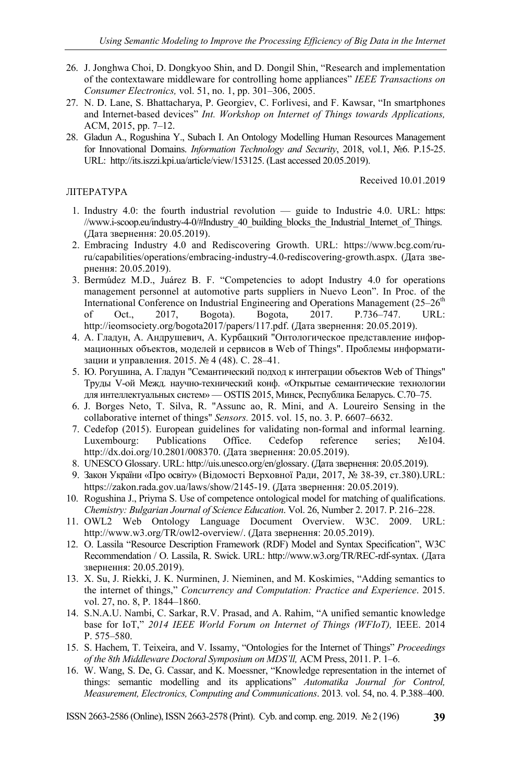- 26. J. Jonghwa Choi, D. Dongkyoo Shin, and D. Dongil Shin, "Research and implementation of the contextaware middleware for controlling home appliances" *IEEE Transactions on Consumer Electronics,* vol. 51, no. 1, pp. 301–306, 2005.
- 27. N. D. Lane, S. Bhattacharya, P. Georgiev, C. Forlivesi, and F. Kawsar, "In smartphones and Internet-based devices" *Int. Workshop on Internet of Things towards Applications,* ACM, 2015, pp. 7–12.
- 28. Gladun A., Rogushina Y., Subach I. An Ontology Modelling Human Resources Management for Innovational Domains. *Information Technology and Security*, 2018, vol.1, №6. P.15-25. URL: http://its.iszzi.kpi.ua/article/view/153125. (Last accessed 20.05.2019).

Received 10.01.2019

#### ЛІТЕРАТУРА

- 1. Industry 4.0: the fourth industrial revolution guide to Industrie 4.0. URL: https: //www.i-scoop.eu/industry-4-0/#Industry 40\_building\_blocks\_the\_Industrial\_Internet\_of\_Things. (Дата звернення: 20.05.2019).
- 2. Embracing Industry 4.0 and Rediscovering Growth. URL: https://www.bcg.com/ruru/capabilities/operations/embracing-industry-4.0-rediscovering-growth.aspx. (Дата звернення: 20.05.2019).
- 3. Bermúdez M.D., Juárez B. F. "Competencies to adopt Industry 4.0 for operations management personnel at automotive parts suppliers in Nuevo Leon". In Proc. of the International Conference on Industrial Engineering and Operations Management  $(25-26<sup>th</sup>)$ of Oct., 2017, Bogota). Bogota, 2017. P.736–747. URL: http://ieomsociety.org/bogota2017/papers/117.pdf. (Дата звернення: 20.05.2019).
- 4. А. Гладун, А. Андрушевич, А. Курбацкий "Онтологическое представление информационных объектов, моделей и сервисов в Web of Things". Проблемы информатизации и управления. 2015. № 4 (48). С. 28–41.
- 5. Ю. Рогушина, А. Гладун "Семантический подход к интеграции объектов Web of Things" Труды V-ой Межд. научно-технический конф. «Открытые семантические технологии для интеллектуальных систем» — OSTIS 2015, Минск, Республика Беларусь. С.70–75.
- 6. J. Borges Neto, T. Silva, R. "Assunc ao, R. Mini, and A. Loureiro Sensing in the collaborative internet of things" *Sensors.* 2015. vol. 15, no. 3. Р. 6607–6632.
- 7. Cedefop (2015). European guidelines for validating non-formal and informal learning. Luxembourg: Publications Office. Cedefop reference series; №104. http://dx.doi.org/10.2801/008370. (Дата звернення: 20.05.2019).
- 8. UNESCO Glossary. URL: http://uis.unesco.org/en/glossary. (Дата звернення: 20.05.2019).
- 9. Закон України «Про освіту» (Відомості Верховної Ради, 2017, № 38-39, ст.380).URL: https://zakon.rada.gov.ua/laws/show/2145-19. (Дата звернення: 20.05.2019).
- 10. Rogushina J., Priyma S. Use of competence ontological model for matching of qualifications. *Chemistry: Bulgarian Journal of Science Education*. Vol. 26, Number 2. 2017. P. 216–228.
- 11. OWL2 Web Ontology Language Document Overview. W3C. 2009. URL: http://www.w3.org/TR/owl2-overview/. (Дата звернення: 20.05.2019).
- 12. O. Lassila "Resource Description Framework (RDF) Model and Syntax Specification", W3C Recommendation / O. Lassila, R. Swick. URL: http://www.w3.org/TR/REC-rdf-syntax. (Дата звернення: 20.05.2019).
- 13. X. Su, J. Riekki, J. K. Nurminen, J. Nieminen, and M. Koskimies, "Adding semantics to the internet of things," *Concurrency and Computation: Practice and Experience*. 2015. vol. 27, no. 8, P. 1844–1860.
- 14. S.N.A.U. Nambi, C. Sarkar, R.V. Prasad, and A. Rahim, "A unified semantic knowledge base for IoT," *2014 IEEE World Forum on Internet of Things (WFIoT),* IEEE. 2014 P. 575–580.
- 15. S. Hachem, T. Teixeira, and V. Issamy, "Ontologies for the Internet of Things" *Proceedings of the 8th Middleware Doctoral Symposium on MDS'll,* ACM Press, 2011. P. 1–6.
- 16. W. Wang, S. De, G. Cassar, and K. Moessner, "Knowledge representation in the internet of things: semantic modelling and its applications" *Automatika Journal for Control, Measurement, Electronics, Computing and Communications*. 2013*.* vol. 54, no. 4. P.388–400.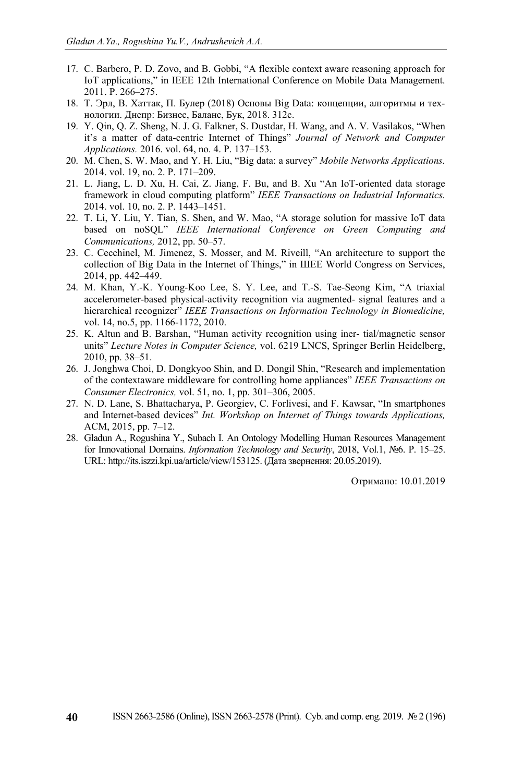- 17. C. Barbero, P. D. Zovo, and B. Gobbi, "A flexible context aware reasoning approach for IoT applications," in IEEE 12th International Conference on Mobile Data Management. 2011. P. 266–275.
- 18. T. Эрл, В. Хаттак, П. Булер (2018) Основы Big Data: концепции, алгоритмы и технологии. Днепр: Бизнес, Баланс, Бук, 2018. 312с.
- 19. Y. Qin, Q. Z. Sheng, N. J. G. Falkner, S. Dustdar, H. Wang, and A. V. Vasilakos, "When it's a matter of data-centric Internet of Things" *Journal of Network and Computer Applications.* 2016. vol. 64, no. 4. P. 137–153.
- 20. M. Chen, S. W. Mao, and Y. H. Liu, "Big data: a survey" *Mobile Networks Applications.*  2014. vol. 19, no. 2. P. 171–209.
- 21. L. Jiang, L. D. Xu, H. Cai, Z. Jiang, F. Bu, and B. Xu "An IoT-oriented data storage framework in cloud computing platform" *IEEE Transactions on Industrial Informatics.*  2014. vol. 10, no. 2. P. 1443–1451.
- 22. T. Li, Y. Liu, Y. Tian, S. Shen, and W. Mao, "A storage solution for massive IoT data based on noSQL" *IEEE International Conference on Green Computing and Communications,* 2012, pp. 50–57.
- 23. C. Cecchinel, M. Jimenez, S. Mosser, and M. Riveill, "An architecture to support the collection of Big Data in the Internet of Things," in ШЕЕ World Congress on Services, 2014, pp. 442–449.
- 24. M. Khan, Y.-K. Young-Koo Lee, S. Y. Lee, and T.-S. Tae-Seong Kim, "A triaxial accelerometer-based physical-activity recognition via augmented- signal features and a hierarchical recognizer" *IEEE Transactions on Information Technology in Biomedicine,* vol. 14, no.5, pp. 1166-1172, 2010.
- 25. K. Altun and B. Barshan, "Human activity recognition using iner- tial/magnetic sensor units" *Lecture Notes in Computer Science,* vol. 6219 LNCS, Springer Berlin Heidelberg, 2010, pp. 38–51.
- 26. J. Jonghwa Choi, D. Dongkyoo Shin, and D. Dongil Shin, "Research and implementation of the contextaware middleware for controlling home appliances" *IEEE Transactions on Consumer Electronics,* vol. 51, no. 1, pp. 301–306, 2005.
- 27. N. D. Lane, S. Bhattacharya, P. Georgiev, C. Forlivesi, and F. Kawsar, "In smartphones and Internet-based devices" *Int. Workshop on Internet of Things towards Applications,* ACM, 2015, pp. 7–12.
- 28. Gladun A., Rogushina Y., Subach I. An Ontology Modelling Human Resources Management for Innovational Domains. *Information Technology and Security*, 2018, Vol.1, №6. P. 15–25. URL: http://its.iszzi.kpi.ua/article/view/153125. (Дата звернення: 20.05.2019).

Отримано: 10.01.2019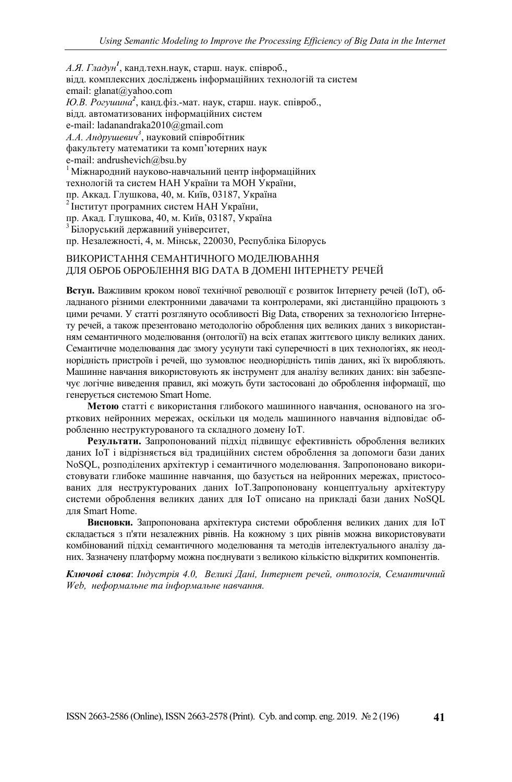*А.Я. Гладун<sup>1</sup>* , канд.техн.наук, старш. наук. співроб., відд. комплексних досліджень інформаційних технологій та систем email: glanat@yahoo.com *Ю.В. Рогушина<sup>2</sup>* , канд.фіз.-мат. наук, старш. наук. співроб., відд. автоматизованих інформаційних систем e-mail: ladanandraka2010@gmail.com *А.А. Андрушевич<sup>3</sup>* , науковий співробітник факультету математики та комп'ютерних наук e-mail: andrushevich@bsu.by<br><sup>1</sup> Міжнародний науково-навчальний центр інформаційних технологій та систем НАН України та МОН України, пр. Аккад. Глушкова, 40, м. Київ, 03187, Україна <sup>2</sup> Інститут програмних систем НАН України, пр. Акад. Глушкова, 40, м. Київ, 03187, Україна <sup>3</sup> Білоруський державний університет, пр. Незалежності, 4, м. Мінськ, 220030, Республіка Білорусь ВИКОРИСТАННЯ СЕМАНТИЧНОГО МОДЕЛЮВАННЯ

# ДЛЯ ОБРОБ ОБРОБЛЕННЯ BIG DATA В ДОМЕНІ ІНТЕРНЕТУ РЕЧЕЙ

**Вступ.** Важливим кроком нової технічної революції є розвиток Інтернету речей (IoT), обладнаного різними електронними давачами та контролерами, які дистанційно працюють з цими речами. У статті розглянуто особливості Big Data, створених за технологією Інтернету речей, а також презентовано методологію оброблення цих великих даних з використанням семантичного моделювання (онтології) на всіх етапах життєвого циклу великих даних. Семантичне моделювання дає змогу усунути такі суперечності в цих технологіях, як неоднорідність пристроїв і речей, що зумовлює неоднорідність типів даних, які їх виробляють. Машинне навчання використовують як інструмент для аналізу великих даних: він забезпечує логічне виведення правил, які можуть бути застосовані до оброблення інформації, що генерується системою Smart Home.

**Метою** статті є використання глибокого машинного навчання, основаного на згорткових нейронних мережах, оскільки ця модель машинного навчання відповідає обробленню неструктурованого та складного домену IoT.

**Результати.** Запропонований підхід підвищує ефективність оброблення великих даних IoT і відрізняється від традиційних систем оброблення за допомоги бази даних NoSQL, розподілених архітектур і семантичного моделювання. Запропоновано використовувати глибоке машинне навчання, що базується на нейронних мережах, пристосованих для неструктурованих даних IoT.Запропоновану концептуальну архітектуру системи оброблення великих даних для IoT описано на прикладі бази даних NoSQL для Smart Home.

**Висновки.** Запропонована архітектура системи оброблення великих даних для IoT складається з п'яти незалежних рівнів. На кожному з цих рівнів можна використовувати комбінований підхід семантичного моделювання та методів інтелектуального аналізу даних. Зазначену платформу можна поєднувати з великою кількістю відкритих компонентів.

*Ключові слова*: *Індустрія 4.0, Великі Дані, Інтернет речей, онтологія, Семантичний Web, неформальне та інформальне навчання.*